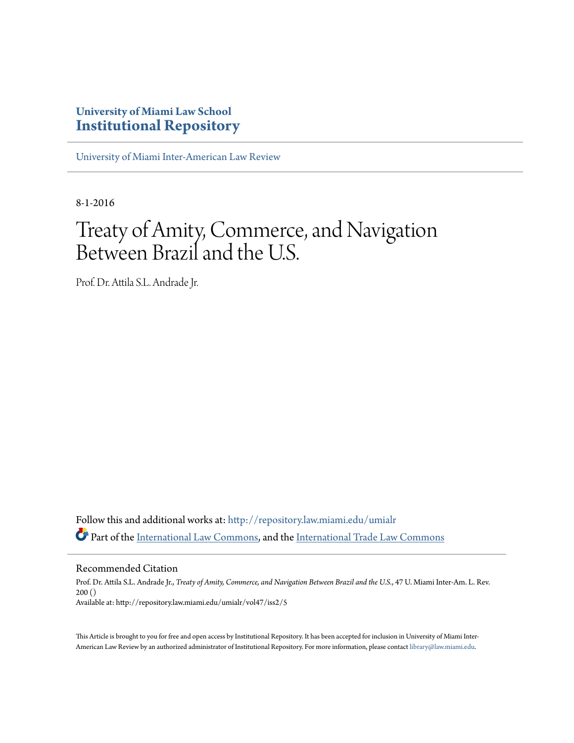### **University of Miami Law School [Institutional Repository](http://repository.law.miami.edu?utm_source=repository.law.miami.edu%2Fumialr%2Fvol47%2Fiss2%2F5&utm_medium=PDF&utm_campaign=PDFCoverPages)**

[University of Miami Inter-American Law Review](http://repository.law.miami.edu/umialr?utm_source=repository.law.miami.edu%2Fumialr%2Fvol47%2Fiss2%2F5&utm_medium=PDF&utm_campaign=PDFCoverPages)

8-1-2016

# Treaty of Amity, Commerce, and Navigation Between Brazil and the U.S.

Prof. Dr. Attila S.L. Andrade Jr.

Follow this and additional works at: [http://repository.law.miami.edu/umialr](http://repository.law.miami.edu/umialr?utm_source=repository.law.miami.edu%2Fumialr%2Fvol47%2Fiss2%2F5&utm_medium=PDF&utm_campaign=PDFCoverPages) Part of the [International Law Commons,](http://network.bepress.com/hgg/discipline/609?utm_source=repository.law.miami.edu%2Fumialr%2Fvol47%2Fiss2%2F5&utm_medium=PDF&utm_campaign=PDFCoverPages) and the [International Trade Law Commons](http://network.bepress.com/hgg/discipline/848?utm_source=repository.law.miami.edu%2Fumialr%2Fvol47%2Fiss2%2F5&utm_medium=PDF&utm_campaign=PDFCoverPages)

Recommended Citation

Prof. Dr. Attila S.L. Andrade Jr., *Treaty of Amity, Commerce, and Navigation Between Brazil and the U.S.*, 47 U. Miami Inter-Am. L. Rev. 200 () Available at: http://repository.law.miami.edu/umialr/vol47/iss2/5

This Article is brought to you for free and open access by Institutional Repository. It has been accepted for inclusion in University of Miami Inter-American Law Review by an authorized administrator of Institutional Repository. For more information, please contact [library@law.miami.edu](mailto:library@law.miami.edu).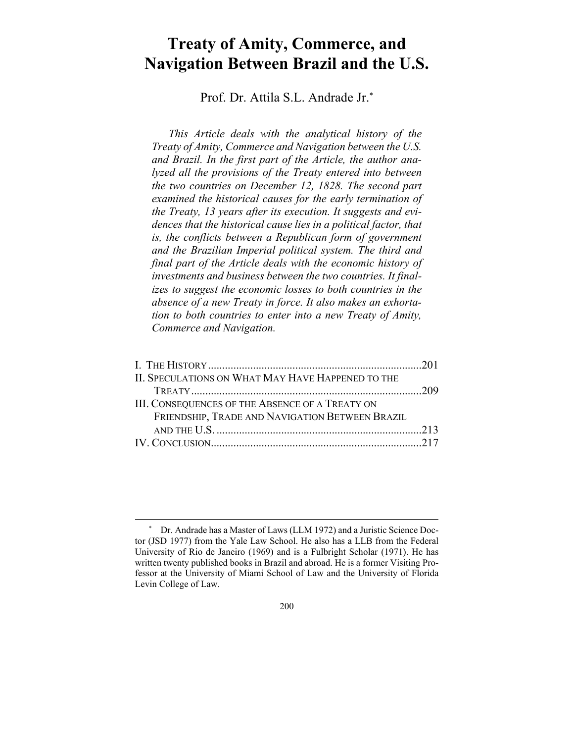## **Treaty of Amity, Commerce, and Navigation Between Brazil and the U.S.**

Prof. Dr. Attila S.L. Andrade Jr.\*

*This Article deals with the analytical history of the Treaty of Amity, Commerce and Navigation between the U.S. and Brazil. In the first part of the Article, the author analyzed all the provisions of the Treaty entered into between the two countries on December 12, 1828. The second part examined the historical causes for the early termination of the Treaty, 13 years after its execution. It suggests and evidences that the historical cause lies in a political factor, that is, the conflicts between a Republican form of government and the Brazilian Imperial political system. The third and final part of the Article deals with the economic history of investments and business between the two countries. It finalizes to suggest the economic losses to both countries in the absence of a new Treaty in force. It also makes an exhortation to both countries to enter into a new Treaty of Amity, Commerce and Navigation.* 

| II. SPECULATIONS ON WHAT MAY HAVE HAPPENED TO THE      |  |
|--------------------------------------------------------|--|
|                                                        |  |
| <b>III. CONSEQUENCES OF THE ABSENCE OF A TREATY ON</b> |  |
| FRIENDSHIP, TRADE AND NAVIGATION BETWEEN BRAZIL        |  |
|                                                        |  |
|                                                        |  |

Dr. Andrade has a Master of Laws (LLM 1972) and a Juristic Science Doctor (JSD 1977) from the Yale Law School. He also has a LLB from the Federal University of Rio de Janeiro (1969) and is a Fulbright Scholar (1971). He has written twenty published books in Brazil and abroad. He is a former Visiting Professor at the University of Miami School of Law and the University of Florida Levin College of Law.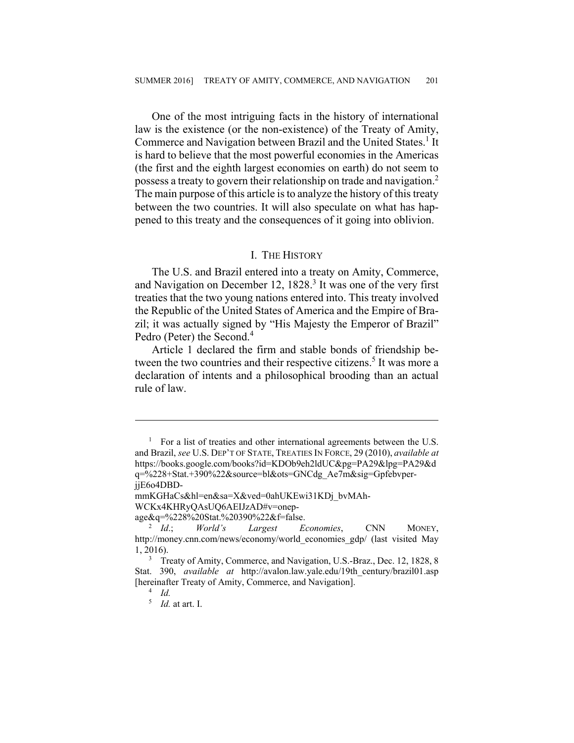One of the most intriguing facts in the history of international law is the existence (or the non-existence) of the Treaty of Amity, Commerce and Navigation between Brazil and the United States.<sup>1</sup> It is hard to believe that the most powerful economies in the Americas (the first and the eighth largest economies on earth) do not seem to possess a treaty to govern their relationship on trade and navigation.2 The main purpose of this article is to analyze the history of this treaty between the two countries. It will also speculate on what has happened to this treaty and the consequences of it going into oblivion.

#### I. THE HISTORY

The U.S. and Brazil entered into a treaty on Amity, Commerce, and Navigation on December 12,  $1828.<sup>3</sup>$  It was one of the very first treaties that the two young nations entered into. This treaty involved the Republic of the United States of America and the Empire of Brazil; it was actually signed by "His Majesty the Emperor of Brazil" Pedro (Peter) the Second.<sup>4</sup>

Article 1 declared the firm and stable bonds of friendship between the two countries and their respective citizens.<sup>5</sup> It was more a declaration of intents and a philosophical brooding than an actual rule of law.

<sup>&</sup>lt;sup>1</sup> For a list of treaties and other international agreements between the U.S. and Brazil, *see* U.S. DEP'T OF STATE, TREATIES IN FORCE, 29 (2010), *available at*  https://books.google.com/books?id=KDOb9eh2ldUC&pg=PA29&lpg=PA29&d q=%228+Stat.+390%22&source=bl&ots=GNCdg\_Ae7m&sig=GpfebvperjjE6o4DBD-

mmKGHaCs&hl=en&sa=X&ved=0ahUKEwi31KDj\_bvMAh-

WCKx4KHRyQAsUQ6AEIJzAD#v=onep-

 $age&q=$ %228%20Stat.%20390%22&f=false.<br>
<sup>2</sup> Id: World's Largest E

*Economies*, CNN MONEY, http://money.cnn.com/news/economy/world\_economies\_gdp/ (last visited May  $1, 2016$ .

<sup>&</sup>lt;sup>3</sup> Treaty of Amity, Commerce, and Navigation, U.S.-Braz., Dec. 12, 1828, 8 Stat. 390, *available at* http://avalon.law.yale.edu/19th\_century/brazil01.asp [hereinafter Treaty of Amity, Commerce, and Navigation].

 $\frac{4}{1}$  *Id.* 

<sup>5</sup>  *Id.* at art. I.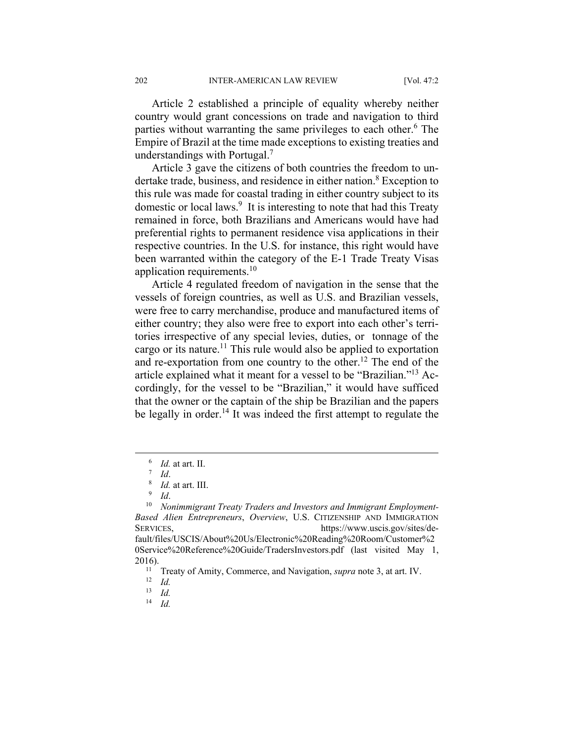Article 2 established a principle of equality whereby neither country would grant concessions on trade and navigation to third parties without warranting the same privileges to each other.<sup>6</sup> The Empire of Brazil at the time made exceptions to existing treaties and understandings with Portugal.<sup>7</sup>

Article 3 gave the citizens of both countries the freedom to undertake trade, business, and residence in either nation.<sup>8</sup> Exception to this rule was made for coastal trading in either country subject to its domestic or local laws.<sup>9</sup> It is interesting to note that had this Treaty remained in force, both Brazilians and Americans would have had preferential rights to permanent residence visa applications in their respective countries. In the U.S. for instance, this right would have been warranted within the category of the E-1 Trade Treaty Visas application requirements.<sup>10</sup>

Article 4 regulated freedom of navigation in the sense that the vessels of foreign countries, as well as U.S. and Brazilian vessels, were free to carry merchandise, produce and manufactured items of either country; they also were free to export into each other's territories irrespective of any special levies, duties, or tonnage of the cargo or its nature.<sup>11</sup> This rule would also be applied to exportation and re-exportation from one country to the other.<sup>12</sup> The end of the article explained what it meant for a vessel to be "Brazilian."13 Accordingly, for the vessel to be "Brazilian," it would have sufficed that the owner or the captain of the ship be Brazilian and the papers be legally in order.<sup>14</sup> It was indeed the first attempt to regulate the

14 *Id.*

 $\overline{\phantom{0}}$  $\frac{6}{1}$  *Id.* at art. II.

 $^7$  *Id.* 

 $\frac{1}{9}$  *Id.* at art. III.

<sup>&</sup>lt;sup>10</sup> Nonimmigrant Treaty Traders and Investors and Immigrant Employment-*Based Alien Entrepreneurs*, *Overview*, U.S. CITIZENSHIP AND IMMIGRATION SERVICES, https://www.uscis.gov/sites/default/files/USCIS/About%20Us/Electronic%20Reading%20Room/Customer%2 0Service%20Reference%20Guide/TradersInvestors.pdf (last visited May 1, 2016).<br><sup>11</sup> Treaty of Amity, Commerce, and Navigation, *supra* note 3, at art. IV.<br><sup>12</sup> *Id* 

<sup>13</sup> *Id.*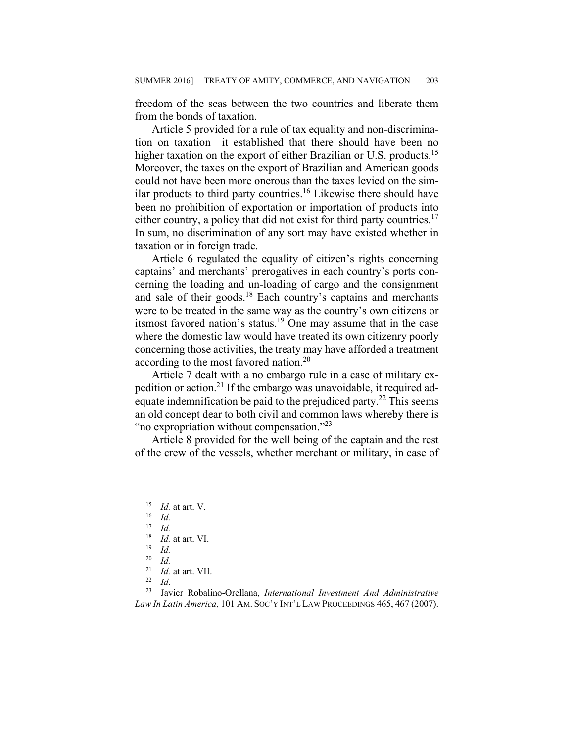freedom of the seas between the two countries and liberate them from the bonds of taxation.

Article 5 provided for a rule of tax equality and non-discrimination on taxation—it established that there should have been no higher taxation on the export of either Brazilian or U.S. products.<sup>15</sup> Moreover, the taxes on the export of Brazilian and American goods could not have been more onerous than the taxes levied on the similar products to third party countries.<sup>16</sup> Likewise there should have been no prohibition of exportation or importation of products into either country, a policy that did not exist for third party countries.<sup>17</sup> In sum, no discrimination of any sort may have existed whether in taxation or in foreign trade.

Article 6 regulated the equality of citizen's rights concerning captains' and merchants' prerogatives in each country's ports concerning the loading and un-loading of cargo and the consignment and sale of their goods.18 Each country's captains and merchants were to be treated in the same way as the country's own citizens or itsmost favored nation's status.19 One may assume that in the case where the domestic law would have treated its own citizenry poorly concerning those activities, the treaty may have afforded a treatment according to the most favored nation.20

Article 7 dealt with a no embargo rule in a case of military expedition or action.21 If the embargo was unavoidable, it required adequate indemnification be paid to the prejudiced party.<sup>22</sup> This seems an old concept dear to both civil and common laws whereby there is "no expropriation without compensation." $^{23}$ 

Article 8 provided for the well being of the captain and the rest of the crew of the vessels, whether merchant or military, in case of

<sup>15</sup> *Id.* at art. V. 16 *Id.*

<sup>17</sup> *Id.*

<sup>18</sup> *Id.* at art. VI. 19 *Id.*

 $\frac{20}{21}$  *Id.* 

<sup>21</sup> *Id.* at art. VII. 22 *Id*. 23 Javier Robalino-Orellana, *International Investment And Administrative Law In Latin America*, 101 AM. SOC'Y INT'L LAW PROCEEDINGS 465, 467 (2007).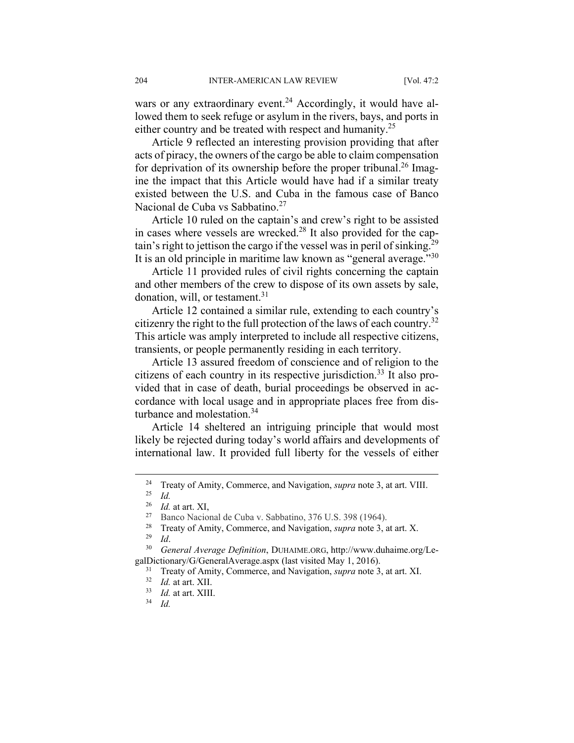wars or any extraordinary event.<sup>24</sup> Accordingly, it would have allowed them to seek refuge or asylum in the rivers, bays, and ports in either country and be treated with respect and humanity.<sup>25</sup>

Article 9 reflected an interesting provision providing that after acts of piracy, the owners of the cargo be able to claim compensation for deprivation of its ownership before the proper tribunal.<sup>26</sup> Imagine the impact that this Article would have had if a similar treaty existed between the U.S. and Cuba in the famous case of Banco Nacional de Cuba vs Sabbatino.<sup>27</sup>

Article 10 ruled on the captain's and crew's right to be assisted in cases where vessels are wrecked.28 It also provided for the captain's right to jettison the cargo if the vessel was in peril of sinking.<sup>29</sup> It is an old principle in maritime law known as "general average."<sup>30</sup>

Article 11 provided rules of civil rights concerning the captain and other members of the crew to dispose of its own assets by sale, donation, will, or testament.<sup>31</sup>

Article 12 contained a similar rule, extending to each country's citizenry the right to the full protection of the laws of each country.32 This article was amply interpreted to include all respective citizens, transients, or people permanently residing in each territory.

Article 13 assured freedom of conscience and of religion to the citizens of each country in its respective jurisdiction.<sup>33</sup> It also provided that in case of death, burial proceedings be observed in accordance with local usage and in appropriate places free from disturbance and molestation.<sup>34</sup>

Article 14 sheltered an intriguing principle that would most likely be rejected during today's world affairs and developments of international law. It provided full liberty for the vessels of either

<sup>&</sup>lt;sup>24</sup> Treaty of Amity, Commerce, and Navigation, *supra* note 3, at art. VIII.<br><sup>25</sup> *Id*. at art. XI

<sup>&</sup>lt;sup>26</sup> *Id.* at art. XI,<br><sup>27</sup> Banco Nacional de Cuba v. Sabbatino, 376 U.S. 398 (1964).

<sup>28</sup> Treaty of Amity, Commerce, and Navigation, *supra* note 3, at art. X. 29 *Id*. 30 *General Average Definition*, DUHAIME.ORG, http://www.duhaime.org/Le-

galDictionary/G/GeneralAverage.aspx (last visited May 1, 2016).<br><sup>31</sup> Treaty of Amity, Commerce, and Navigation, *supra* note 3, at art. XI.<br><sup>32</sup> *Id.* at art. XIII.<br><sup>33</sup> *Id.* at art. XIII.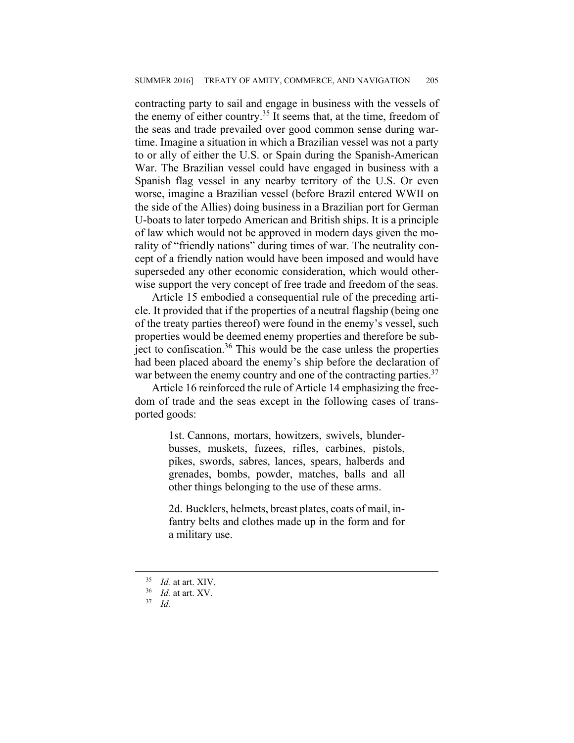contracting party to sail and engage in business with the vessels of the enemy of either country.<sup>35</sup> It seems that, at the time, freedom of the seas and trade prevailed over good common sense during wartime. Imagine a situation in which a Brazilian vessel was not a party to or ally of either the U.S. or Spain during the Spanish-American War. The Brazilian vessel could have engaged in business with a Spanish flag vessel in any nearby territory of the U.S. Or even worse, imagine a Brazilian vessel (before Brazil entered WWII on the side of the Allies) doing business in a Brazilian port for German U-boats to later torpedo American and British ships. It is a principle of law which would not be approved in modern days given the morality of "friendly nations" during times of war. The neutrality concept of a friendly nation would have been imposed and would have superseded any other economic consideration, which would otherwise support the very concept of free trade and freedom of the seas.

Article 15 embodied a consequential rule of the preceding article. It provided that if the properties of a neutral flagship (being one of the treaty parties thereof) were found in the enemy's vessel, such properties would be deemed enemy properties and therefore be subject to confiscation.36 This would be the case unless the properties had been placed aboard the enemy's ship before the declaration of war between the enemy country and one of the contracting parties.<sup>37</sup>

Article 16 reinforced the rule of Article 14 emphasizing the freedom of trade and the seas except in the following cases of transported goods:

> 1st. Cannons, mortars, howitzers, swivels, blunderbusses, muskets, fuzees, rifles, carbines, pistols, pikes, swords, sabres, lances, spears, halberds and grenades, bombs, powder, matches, balls and all other things belonging to the use of these arms.

> 2d. Bucklers, helmets, breast plates, coats of mail, infantry belts and clothes made up in the form and for a military use.

<sup>35</sup> *Id.* at art. XIV. 36 *Id.* at art. XV. 37 *Id.*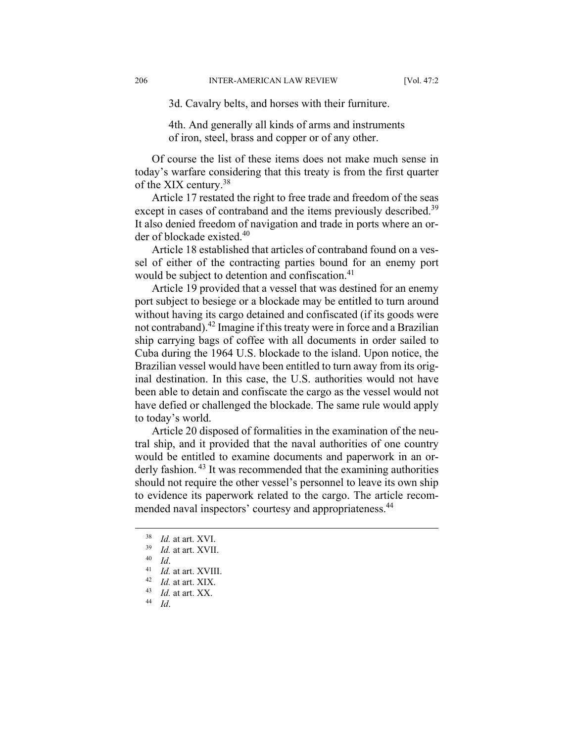3d. Cavalry belts, and horses with their furniture.

4th. And generally all kinds of arms and instruments of iron, steel, brass and copper or of any other.

Of course the list of these items does not make much sense in today's warfare considering that this treaty is from the first quarter of the XIX century.<sup>38</sup>

Article 17 restated the right to free trade and freedom of the seas except in cases of contraband and the items previously described.<sup>39</sup> It also denied freedom of navigation and trade in ports where an order of blockade existed.<sup>40</sup>

Article 18 established that articles of contraband found on a vessel of either of the contracting parties bound for an enemy port would be subject to detention and confiscation.<sup>41</sup>

Article 19 provided that a vessel that was destined for an enemy port subject to besiege or a blockade may be entitled to turn around without having its cargo detained and confiscated (if its goods were not contraband).42 Imagine if this treaty were in force and a Brazilian ship carrying bags of coffee with all documents in order sailed to Cuba during the 1964 U.S. blockade to the island. Upon notice, the Brazilian vessel would have been entitled to turn away from its original destination. In this case, the U.S. authorities would not have been able to detain and confiscate the cargo as the vessel would not have defied or challenged the blockade. The same rule would apply to today's world.

Article 20 disposed of formalities in the examination of the neutral ship, and it provided that the naval authorities of one country would be entitled to examine documents and paperwork in an orderly fashion.<sup>43</sup> It was recommended that the examining authorities should not require the other vessel's personnel to leave its own ship to evidence its paperwork related to the cargo. The article recommended naval inspectors' courtesy and appropriateness.<sup>44</sup>

- 
- <sup>38</sup> *Id.* at art. XVI. 39 *Id.* at art. XVII. 40 *Id*. 41 *Id.* at art. XVIII. 42 *Id.* at art. XIX. 43 *Id.* at art. XX. 44 *Id*.
	-
	-
	-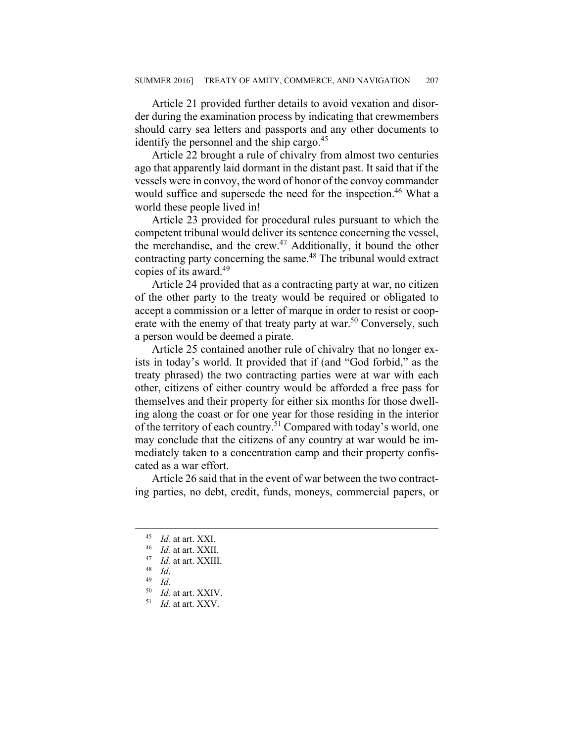Article 21 provided further details to avoid vexation and disorder during the examination process by indicating that crewmembers should carry sea letters and passports and any other documents to identify the personnel and the ship cargo.<sup>45</sup>

Article 22 brought a rule of chivalry from almost two centuries ago that apparently laid dormant in the distant past. It said that if the vessels were in convoy, the word of honor of the convoy commander would suffice and supersede the need for the inspection.<sup>46</sup> What a world these people lived in!

Article 23 provided for procedural rules pursuant to which the competent tribunal would deliver its sentence concerning the vessel, the merchandise, and the crew. $47$  Additionally, it bound the other contracting party concerning the same.<sup>48</sup> The tribunal would extract copies of its award.49

Article 24 provided that as a contracting party at war, no citizen of the other party to the treaty would be required or obligated to accept a commission or a letter of marque in order to resist or cooperate with the enemy of that treaty party at war.<sup>50</sup> Conversely, such a person would be deemed a pirate.

Article 25 contained another rule of chivalry that no longer exists in today's world. It provided that if (and "God forbid," as the treaty phrased) the two contracting parties were at war with each other, citizens of either country would be afforded a free pass for themselves and their property for either six months for those dwelling along the coast or for one year for those residing in the interior of the territory of each country.51 Compared with today's world, one may conclude that the citizens of any country at war would be immediately taken to a concentration camp and their property confiscated as a war effort.

Article 26 said that in the event of war between the two contracting parties, no debt, credit, funds, moneys, commercial papers, or

<sup>45</sup> *Id.* at art. XXI. 46 *Id.* at art. XXII. 47 *Id.* at art. XXIII. 48 *Id*. 49 *Id*. 50 *Id.* at art. XXIV. 51 *Id.* at art. XXV.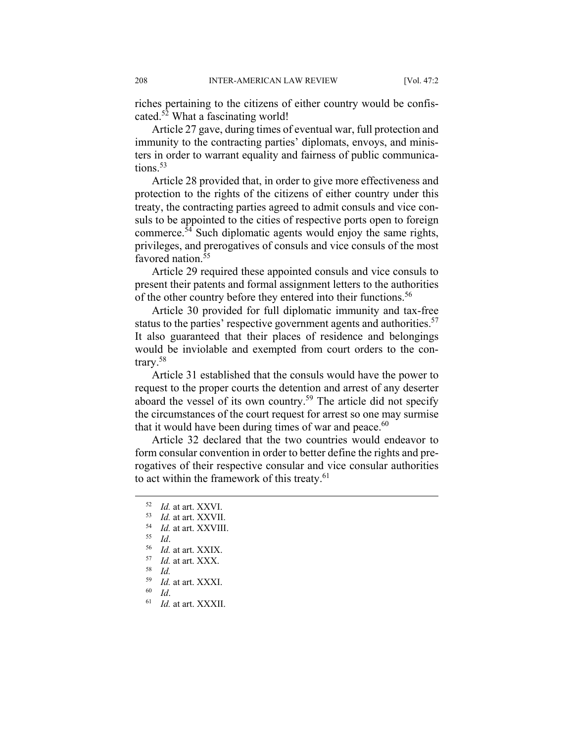riches pertaining to the citizens of either country would be confiscated.<sup>52</sup> What a fascinating world!

Article 27 gave, during times of eventual war, full protection and immunity to the contracting parties' diplomats, envoys, and ministers in order to warrant equality and fairness of public communications $53$ 

Article 28 provided that, in order to give more effectiveness and protection to the rights of the citizens of either country under this treaty, the contracting parties agreed to admit consuls and vice consuls to be appointed to the cities of respective ports open to foreign commerce.54 Such diplomatic agents would enjoy the same rights, privileges, and prerogatives of consuls and vice consuls of the most favored nation.<sup>55</sup>

Article 29 required these appointed consuls and vice consuls to present their patents and formal assignment letters to the authorities of the other country before they entered into their functions.<sup>56</sup>

Article 30 provided for full diplomatic immunity and tax-free status to the parties' respective government agents and authorities.<sup>57</sup> It also guaranteed that their places of residence and belongings would be inviolable and exempted from court orders to the contrary.58

Article 31 established that the consuls would have the power to request to the proper courts the detention and arrest of any deserter aboard the vessel of its own country.<sup>59</sup> The article did not specify the circumstances of the court request for arrest so one may surmise that it would have been during times of war and peace. $60$ 

Article 32 declared that the two countries would endeavor to form consular convention in order to better define the rights and prerogatives of their respective consular and vice consular authorities to act within the framework of this treaty.<sup>61</sup>

- 
- 61 *Id.* at art. XXXII.

<sup>52</sup> *Id.* at art. XXVI.<br>
53 *Id.* at art. XXVIII.<br>
55 *Id.*<br>
56 *Id.* at art. XXIX.<br>
57 *Id.* at art. XXX.<br>
58 *Id.* at art. XXX.

<sup>59</sup> *Id.* at art. XXXI. 60 *Id*.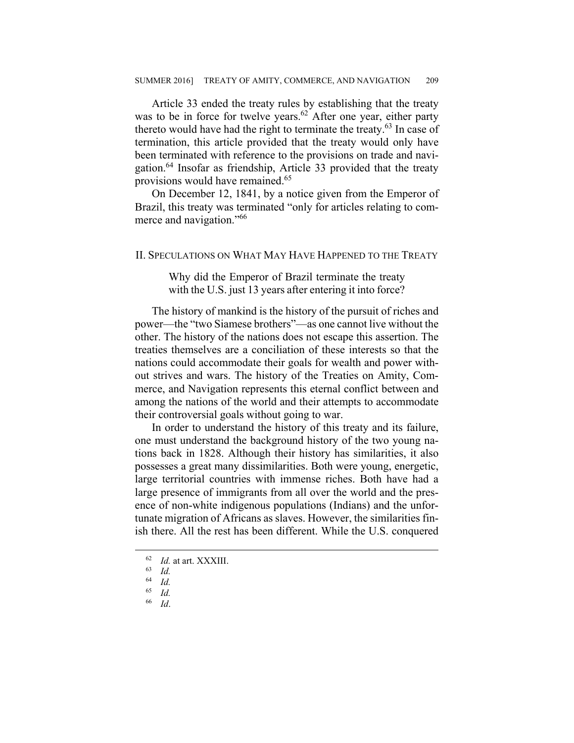Article 33 ended the treaty rules by establishing that the treaty was to be in force for twelve years.<sup>62</sup> After one year, either party thereto would have had the right to terminate the treaty.63 In case of termination, this article provided that the treaty would only have been terminated with reference to the provisions on trade and navigation.<sup>64</sup> Insofar as friendship, Article 33 provided that the treaty provisions would have remained.<sup>65</sup>

On December 12, 1841, by a notice given from the Emperor of Brazil, this treaty was terminated "only for articles relating to commerce and navigation."<sup>66</sup>

#### II. SPECULATIONS ON WHAT MAY HAVE HAPPENED TO THE TREATY

Why did the Emperor of Brazil terminate the treaty with the U.S. just 13 years after entering it into force?

The history of mankind is the history of the pursuit of riches and power—the "two Siamese brothers"—as one cannot live without the other. The history of the nations does not escape this assertion. The treaties themselves are a conciliation of these interests so that the nations could accommodate their goals for wealth and power without strives and wars. The history of the Treaties on Amity, Commerce, and Navigation represents this eternal conflict between and among the nations of the world and their attempts to accommodate their controversial goals without going to war.

In order to understand the history of this treaty and its failure, one must understand the background history of the two young nations back in 1828. Although their history has similarities, it also possesses a great many dissimilarities. Both were young, energetic, large territorial countries with immense riches. Both have had a large presence of immigrants from all over the world and the presence of non-white indigenous populations (Indians) and the unfortunate migration of Africans as slaves. However, the similarities finish there. All the rest has been different. While the U.S. conquered

66 *Id*.

<sup>62</sup> *Id.* at art. XXXIII. 63 *Id.* 

<sup>64</sup> *Id.*

 $\begin{array}{cc} 65 & Id. \\ 66 & Id. \end{array}$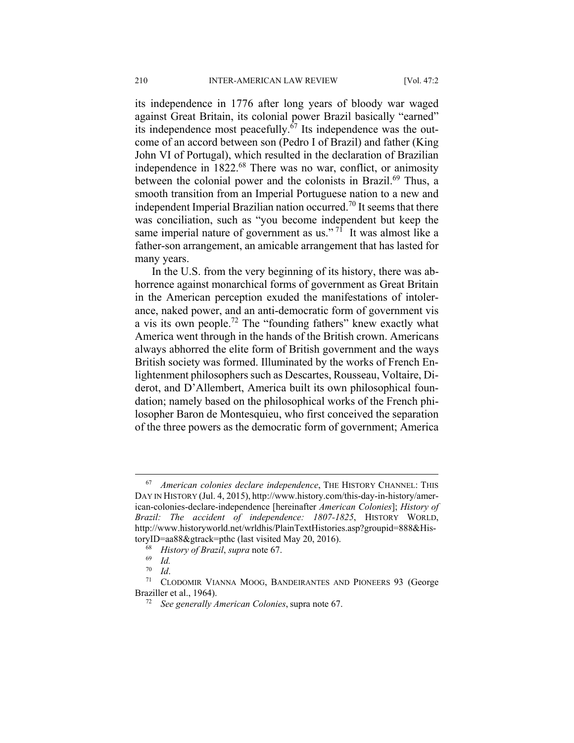its independence in 1776 after long years of bloody war waged against Great Britain, its colonial power Brazil basically "earned" its independence most peacefully. $67$  Its independence was the outcome of an accord between son (Pedro I of Brazil) and father (King John VI of Portugal), which resulted in the declaration of Brazilian independence in 1822.<sup>68</sup> There was no war, conflict, or animosity between the colonial power and the colonists in Brazil.<sup>69</sup> Thus, a smooth transition from an Imperial Portuguese nation to a new and independent Imperial Brazilian nation occurred.<sup>70</sup> It seems that there was conciliation, such as "you become independent but keep the same imperial nature of government as us."<sup>71</sup> It was almost like a father-son arrangement, an amicable arrangement that has lasted for many years.

In the U.S. from the very beginning of its history, there was abhorrence against monarchical forms of government as Great Britain in the American perception exuded the manifestations of intolerance, naked power, and an anti-democratic form of government vis a vis its own people.72 The "founding fathers" knew exactly what America went through in the hands of the British crown. Americans always abhorred the elite form of British government and the ways British society was formed. Illuminated by the works of French Enlightenment philosophers such as Descartes, Rousseau, Voltaire, Diderot, and D'Allembert, America built its own philosophical foundation; namely based on the philosophical works of the French philosopher Baron de Montesquieu, who first conceived the separation of the three powers as the democratic form of government; America

 <sup>67</sup> *American colonies declare independence*, THE HISTORY CHANNEL: THIS DAY IN HISTORY (Jul. 4, 2015), http://www.history.com/this-day-in-history/american-colonies-declare-independence [hereinafter *American Colonies*]; *History of Brazil: The accident of independence: 1807-1825*, HISTORY WORLD, http://www.historyworld.net/wrldhis/PlainTextHistories.asp?groupid=888&HistoryID=aa88&gtrack=pthc (last visited May 20, 2016).<br><sup>68</sup> *History of Brazil*, *supra* note 67.<br><sup>69</sup> *Id.* 

<sup>70</sup> *Id*. 71 CLODOMIR VIANNA MOOG, BANDEIRANTES AND PIONEERS 93 (George Braziller et al., 1964). 72 *See generally American Colonies*, supra note 67.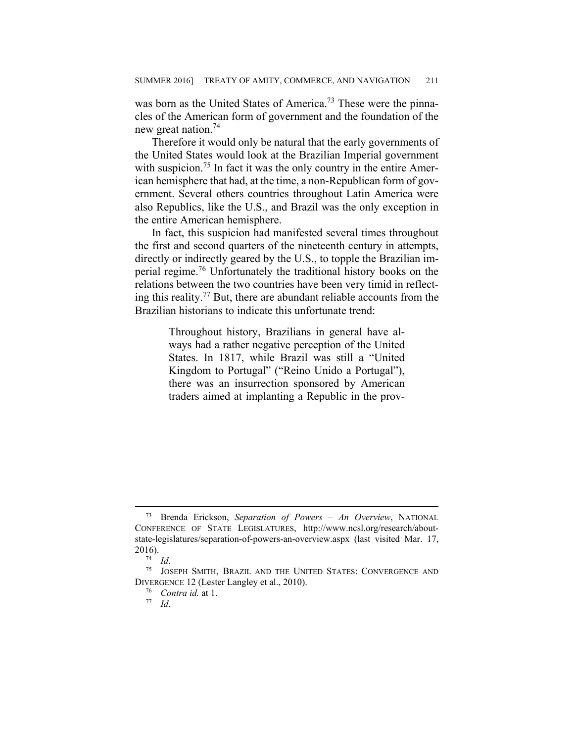was born as the United States of America.<sup>73</sup> These were the pinnacles of the American form of government and the foundation of the new great nation.74

Therefore it would only be natural that the early governments of the United States would look at the Brazilian Imperial government with suspicion.<sup>75</sup> In fact it was the only country in the entire American hemisphere that had, at the time, a non-Republican form of government. Several others countries throughout Latin America were also Republics, like the U.S., and Brazil was the only exception in the entire American hemisphere.

In fact, this suspicion had manifested several times throughout the first and second quarters of the nineteenth century in attempts, directly or indirectly geared by the U.S., to topple the Brazilian imperial regime.76 Unfortunately the traditional history books on the relations between the two countries have been very timid in reflecting this reality.77 But, there are abundant reliable accounts from the Brazilian historians to indicate this unfortunate trend:

> Throughout history, Brazilians in general have always had a rather negative perception of the United States. In 1817, while Brazil was still a "United Kingdom to Portugal" ("Reino Unido a Portugal"), there was an insurrection sponsored by American traders aimed at implanting a Republic in the prov-

 <sup>73</sup> Brenda Erickson, *Separation of Powers – An Overview*, NATIONAL CONFERENCE OF STATE LEGISLATURES, http://www.ncsl.org/research/aboutstate-legislatures/separation-of-powers-an-overview.aspx (last visited Mar. 17, 2016).<br><sup>74</sup> *Id.* 75 JOSEPH SMITH, BRAZIL AND THE UNITED STATES: CONVERGENCE AND

DIVERGENCE 12 (Lester Langley et al., 2010). 76 *Contra id.* at 1. 77 *Id*.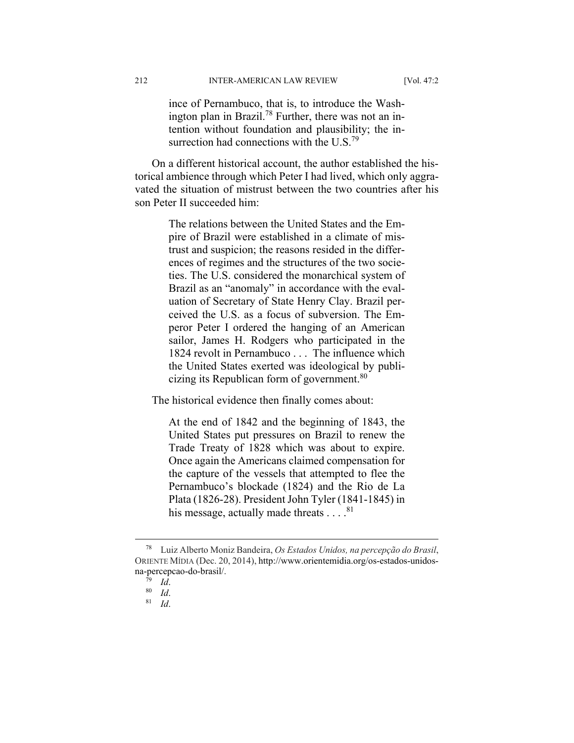ince of Pernambuco, that is, to introduce the Washington plan in Brazil.<sup>78</sup> Further, there was not an intention without foundation and plausibility; the insurrection had connections with the U.S.<sup>79</sup>

On a different historical account, the author established the historical ambience through which Peter I had lived, which only aggravated the situation of mistrust between the two countries after his son Peter II succeeded him:

> The relations between the United States and the Empire of Brazil were established in a climate of mistrust and suspicion; the reasons resided in the differences of regimes and the structures of the two societies. The U.S. considered the monarchical system of Brazil as an "anomaly" in accordance with the evaluation of Secretary of State Henry Clay. Brazil perceived the U.S. as a focus of subversion. The Emperor Peter I ordered the hanging of an American sailor, James H. Rodgers who participated in the 1824 revolt in Pernambuco . . . The influence which the United States exerted was ideological by publicizing its Republican form of government.<sup>80</sup>

The historical evidence then finally comes about:

At the end of 1842 and the beginning of 1843, the United States put pressures on Brazil to renew the Trade Treaty of 1828 which was about to expire. Once again the Americans claimed compensation for the capture of the vessels that attempted to flee the Pernambuco's blockade (1824) and the Rio de La Plata (1826-28). President John Tyler (1841-1845) in his message, actually made threats  $\dots$ .<sup>81</sup>

 <sup>78</sup> Luiz Alberto Moniz Bandeira, *Os Estados Unidos, na percepção do Brasil*, ORIENTE MÍDIA (Dec. 20, 2014), http://www.orientemidia.org/os-estados-unidosna-percepcao-do-brasil/.<br> $\frac{79}{10}$  Id.

<sup>79</sup> *Id*. 80 *Id*. 81 *Id*.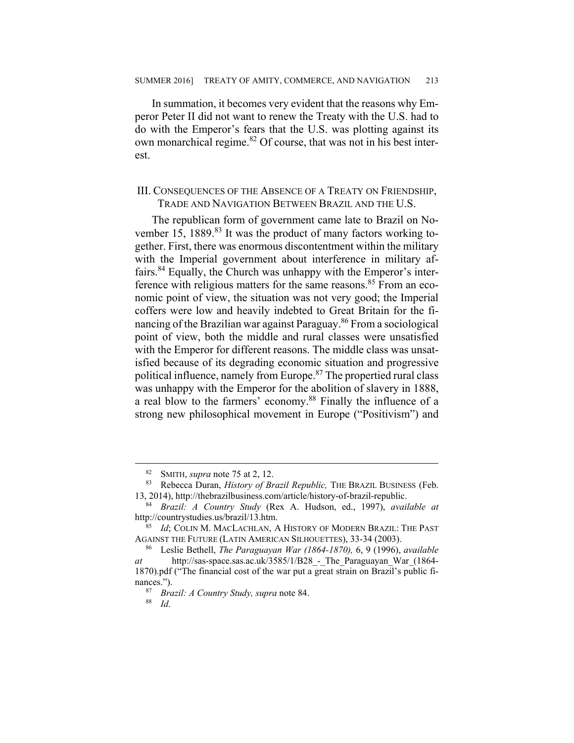In summation, it becomes very evident that the reasons why Emperor Peter II did not want to renew the Treaty with the U.S. had to do with the Emperor's fears that the U.S. was plotting against its own monarchical regime.82 Of course, that was not in his best interest.

#### III. CONSEQUENCES OF THE ABSENCE OF A TREATY ON FRIENDSHIP, TRADE AND NAVIGATION BETWEEN BRAZIL AND THE U.S.

The republican form of government came late to Brazil on November 15, 1889.<sup>83</sup> It was the product of many factors working together. First, there was enormous discontentment within the military with the Imperial government about interference in military affairs.84 Equally, the Church was unhappy with the Emperor's interference with religious matters for the same reasons.<sup>85</sup> From an economic point of view, the situation was not very good; the Imperial coffers were low and heavily indebted to Great Britain for the financing of the Brazilian war against Paraguay.<sup>86</sup> From a sociological point of view, both the middle and rural classes were unsatisfied with the Emperor for different reasons. The middle class was unsatisfied because of its degrading economic situation and progressive political influence, namely from Europe.<sup>87</sup> The propertied rural class was unhappy with the Emperor for the abolition of slavery in 1888, a real blow to the farmers' economy.88 Finally the influence of a strong new philosophical movement in Europe ("Positivism") and

<sup>&</sup>lt;sup>82</sup> SMITH, *supra* note 75 at 2, 12.<br><sup>83</sup> Rebecca Duran, *History of Brazil Republic*, THE BRAZIL BUSINESS (Feb. 13, 2014), http://thebrazilbusiness.com/article/history-of-brazil-republic. 84 *Brazil: A Country Study* (Rex A. Hudson, ed., 1997), *available at* 

http://countrystudies.us/brazil/13.htm. 85 *Id*; COLIN M. MACLACHLAN, A HISTORY OF MODERN BRAZIL: THE PAST

AGAINST THE FUTURE (LATIN AMERICAN SILHOUETTES), 33-34 (2003). 86 Leslie Bethell, *The Paraguayan War (1864-1870),* 6, 9 (1996), *available* 

*at* http://sas-space.sas.ac.uk/3585/1/B28\_-\_The\_Paraguayan\_War\_(1864- 1870).pdf ("The financial cost of the war put a great strain on Brazil's public finances.").<br><sup>87</sup> *Brazil: A Country Study, supra* note 84.<br><sup>88</sup> *Id*.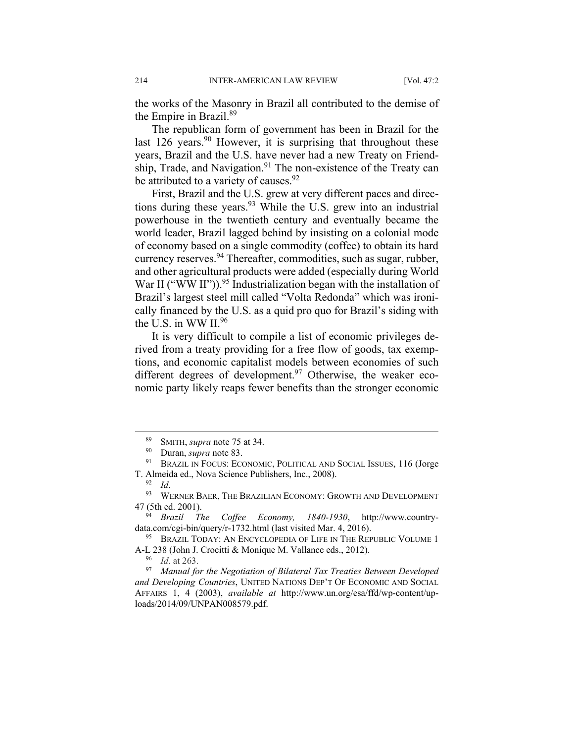the works of the Masonry in Brazil all contributed to the demise of the Empire in Brazil.89

The republican form of government has been in Brazil for the last 126 years.<sup>90</sup> However, it is surprising that throughout these years, Brazil and the U.S. have never had a new Treaty on Friendship, Trade, and Navigation.<sup>91</sup> The non-existence of the Treaty can be attributed to a variety of causes.<sup>92</sup>

First, Brazil and the U.S. grew at very different paces and directions during these years.<sup>93</sup> While the U.S. grew into an industrial powerhouse in the twentieth century and eventually became the world leader, Brazil lagged behind by insisting on a colonial mode of economy based on a single commodity (coffee) to obtain its hard currency reserves.<sup>94</sup> Thereafter, commodities, such as sugar, rubber, and other agricultural products were added (especially during World War II ("WW II")).<sup>95</sup> Industrialization began with the installation of Brazil's largest steel mill called "Volta Redonda" which was ironically financed by the U.S. as a quid pro quo for Brazil's siding with the U.S. in WW  $II.^{96}$ 

It is very difficult to compile a list of economic privileges derived from a treaty providing for a free flow of goods, tax exemptions, and economic capitalist models between economies of such different degrees of development.<sup>97</sup> Otherwise, the weaker economic party likely reaps fewer benefits than the stronger economic

<sup>&</sup>lt;sup>89</sup> SMITH, *supra* note 75 at 34.<br><sup>90</sup> Duran, *supra* note 83.<br><sup>91</sup> BRAZIL IN FOCUS: ECONOMIC, POLITICAL AND SOCIAL ISSUES, 116 (Jorge T. Almeida ed., Nova Science Publishers, Inc., 2008).<br><sup>92</sup> *Id.* 93 WERNER BAER, THE BRAZILIAN ECONOMY: GROWTH AND DEVELOPMENT

<sup>47 (5</sup>th ed. 2001). 94 *Brazil The Coffee Economy, 1840-1930*, http://www.country-

data.com/cgi-bin/query/r-1732.html (last visited Mar. 4, 2016).<br><sup>95</sup> BRAZIL TODAY: AN ENCYCLOPEDIA OF LIFE IN THE REPUBLIC VOLUME 1

A-L 238 (John J. Crocitti & Monique M. Vallance eds., 2012). 96 *Id*. at 263.

<sup>97</sup> *Manual for the Negotiation of Bilateral Tax Treaties Between Developed and Developing Countries*, UNITED NATIONS DEP'T OF ECONOMIC AND SOCIAL AFFAIRS 1, 4 (2003), *available at* http://www.un.org/esa/ffd/wp-content/uploads/2014/09/UNPAN008579.pdf.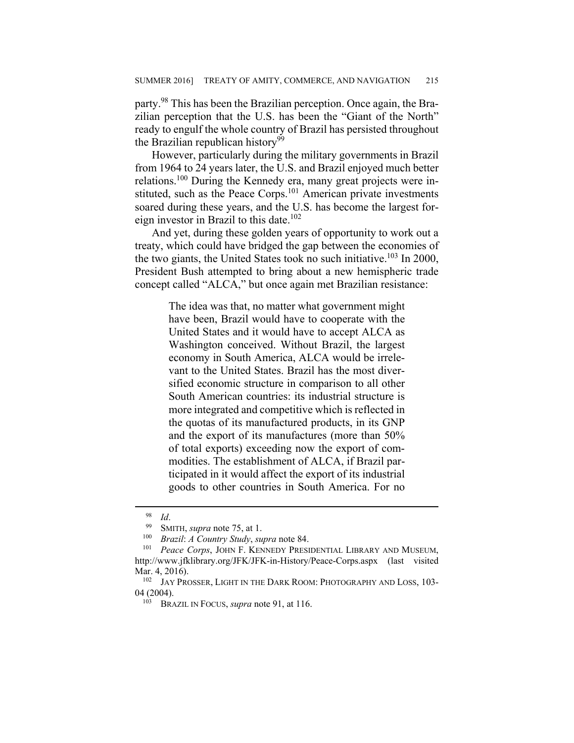party.98 This has been the Brazilian perception. Once again, the Brazilian perception that the U.S. has been the "Giant of the North" ready to engulf the whole country of Brazil has persisted throughout the Brazilian republican history $99$ 

However, particularly during the military governments in Brazil from 1964 to 24 years later, the U.S. and Brazil enjoyed much better relations.100 During the Kennedy era, many great projects were instituted, such as the Peace Corps.<sup>101</sup> American private investments soared during these years, and the U.S. has become the largest foreign investor in Brazil to this date.<sup>102</sup>

And yet, during these golden years of opportunity to work out a treaty, which could have bridged the gap between the economies of the two giants, the United States took no such initiative.<sup>103</sup> In 2000, President Bush attempted to bring about a new hemispheric trade concept called "ALCA," but once again met Brazilian resistance:

> The idea was that, no matter what government might have been, Brazil would have to cooperate with the United States and it would have to accept ALCA as Washington conceived. Without Brazil, the largest economy in South America, ALCA would be irrelevant to the United States. Brazil has the most diversified economic structure in comparison to all other South American countries: its industrial structure is more integrated and competitive which is reflected in the quotas of its manufactured products, in its GNP and the export of its manufactures (more than 50% of total exports) exceeding now the export of commodities. The establishment of ALCA, if Brazil participated in it would affect the export of its industrial goods to other countries in South America. For no

<sup>98</sup> *Id*. 99 SMITH, *supra* note 75, at 1. 100 *Brazil*: *A Country Study*, *supra* note 84. 101 *Peace Corps*, JOHN F. KENNEDY PRESIDENTIAL LIBRARY AND MUSEUM, http://www.jfklibrary.org/JFK/JFK-in-History/Peace-Corps.aspx (last visited Mar. 4, 2016).<br><sup>102</sup> JAY PROSSER, LIGHT IN THE DARK ROOM: PHOTOGRAPHY AND LOSS, 103-

<sup>04 (2004). 103</sup> BRAZIL IN FOCUS, *supra* note 91, at 116.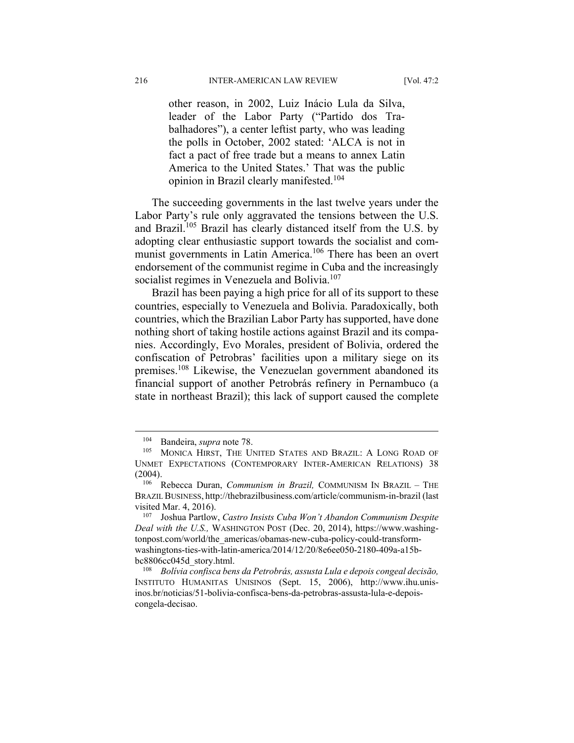other reason, in 2002, Luiz Inácio Lula da Silva, leader of the Labor Party ("Partido dos Trabalhadores"), a center leftist party, who was leading the polls in October, 2002 stated: 'ALCA is not in fact a pact of free trade but a means to annex Latin America to the United States.' That was the public opinion in Brazil clearly manifested.<sup>104</sup>

The succeeding governments in the last twelve years under the Labor Party's rule only aggravated the tensions between the U.S. and Brazil.<sup>105</sup> Brazil has clearly distanced itself from the U.S. by adopting clear enthusiastic support towards the socialist and communist governments in Latin America.<sup>106</sup> There has been an overt endorsement of the communist regime in Cuba and the increasingly socialist regimes in Venezuela and Bolivia.<sup>107</sup>

Brazil has been paying a high price for all of its support to these countries, especially to Venezuela and Bolivia. Paradoxically, both countries, which the Brazilian Labor Party has supported, have done nothing short of taking hostile actions against Brazil and its companies. Accordingly, Evo Morales, president of Bolivia, ordered the confiscation of Petrobras' facilities upon a military siege on its premises.108 Likewise, the Venezuelan government abandoned its financial support of another Petrobrás refinery in Pernambuco (a state in northeast Brazil); this lack of support caused the complete

<sup>&</sup>lt;sup>104</sup> Bandeira, *supra* note 78.<br><sup>105</sup> MONICA HIRST, THE UNITED STATES AND BRAZIL: A LONG ROAD OF UNMET EXPECTATIONS (CONTEMPORARY INTER-AMERICAN RELATIONS) 38 (2004). 106 Rebecca Duran, *Communism in Brazil,* COMMUNISM IN BRAZIL – THE

BRAZIL BUSINESS, http://thebrazilbusiness.com/article/communism-in-brazil (last visited Mar. 4, 2016).

<sup>107</sup> Joshua Partlow, *Castro Insists Cuba Won't Abandon Communism Despite Deal with the U.S.,* WASHINGTON POST (Dec. 20, 2014), https://www.washingtonpost.com/world/the\_americas/obamas-new-cuba-policy-could-transformwashingtons-ties-with-latin-america/2014/12/20/8e6ee050-2180-409a-a15bbc8806cc045d\_story.html. 108 *Bolívia confisca bens da Petrobrás, assusta Lula e depois congeal decisão,*

INSTITUTO HUMANITAS UNISINOS (Sept. 15, 2006), http://www.ihu.unisinos.br/noticias/51-bolivia-confisca-bens-da-petrobras-assusta-lula-e-depoiscongela-decisao.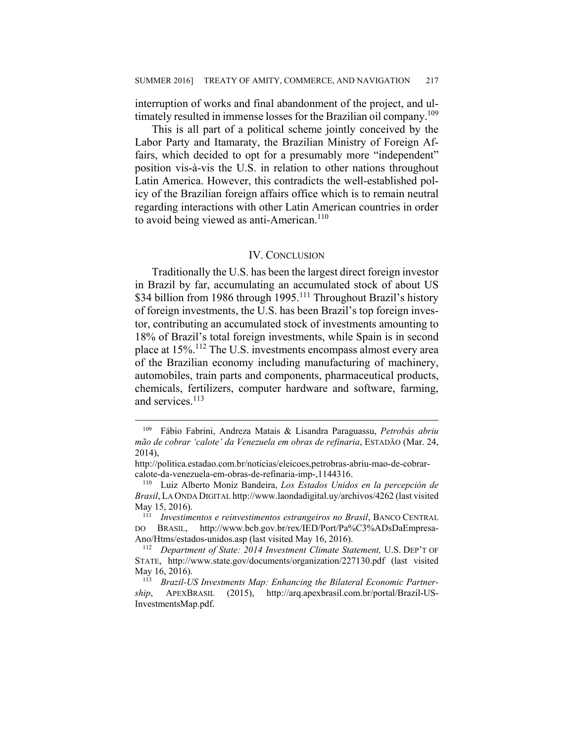interruption of works and final abandonment of the project, and ultimately resulted in immense losses for the Brazilian oil company.<sup>109</sup>

This is all part of a political scheme jointly conceived by the Labor Party and Itamaraty, the Brazilian Ministry of Foreign Affairs, which decided to opt for a presumably more "independent" position vis-à-vis the U.S. in relation to other nations throughout Latin America. However, this contradicts the well-established policy of the Brazilian foreign affairs office which is to remain neutral regarding interactions with other Latin American countries in order to avoid being viewed as anti-American.<sup>110</sup>

#### IV. CONCLUSION

Traditionally the U.S. has been the largest direct foreign investor in Brazil by far, accumulating an accumulated stock of about US \$34 billion from 1986 through 1995.<sup>111</sup> Throughout Brazil's history of foreign investments, the U.S. has been Brazil's top foreign investor, contributing an accumulated stock of investments amounting to 18% of Brazil's total foreign investments, while Spain is in second place at 15%.112 The U.S. investments encompass almost every area of the Brazilian economy including manufacturing of machinery, automobiles, train parts and components, pharmaceutical products, chemicals, fertilizers, computer hardware and software, farming, and services.<sup>113</sup>

<sup>109</sup> Fábio Fabrini, Andreza Matais & Lisandra Paraguassu, *Petrobás abriu mão de cobrar 'calote' da Venezuela em obras de refinaria*, ESTADÃO (Mar. 24, 2014),

http://politica.estadao.com.br/noticias/eleicoes,petrobras-abriu-mao-de-cobrarcalote-da-venezuela-em-obras-de-refinaria-imp-,1144316. 110 Luiz Alberto Moniz Bandeira, *Los Estados Unidos en la percepción de* 

*Brasil*, LA ONDA DIGITAL http://www.laondadigital.uy/archivos/4262 (last visited May 15, 2016). 111 *Investimentos e reinvestimentos estrangeiros no Brasil*, BANCO CENTRAL

DO BRASIL, http://www.bcb.gov.br/rex/IED/Port/Pa%C3%ADsDaEmpresa-Ano/Htms/estados-unidos.asp (last visited May 16, 2016). 112 *Department of State: 2014 Investment Climate Statement,* U.S. DEP'T OF

STATE, http://www.state.gov/documents/organization/227130.pdf (last visited May 16, 2016).<br><sup>113</sup> Brazil-US Investments Map: Enhancing the Bilateral Economic Partner-

*ship*, APEXBRASIL (2015), http://arq.apexbrasil.com.br/portal/Brazil-US-InvestmentsMap.pdf.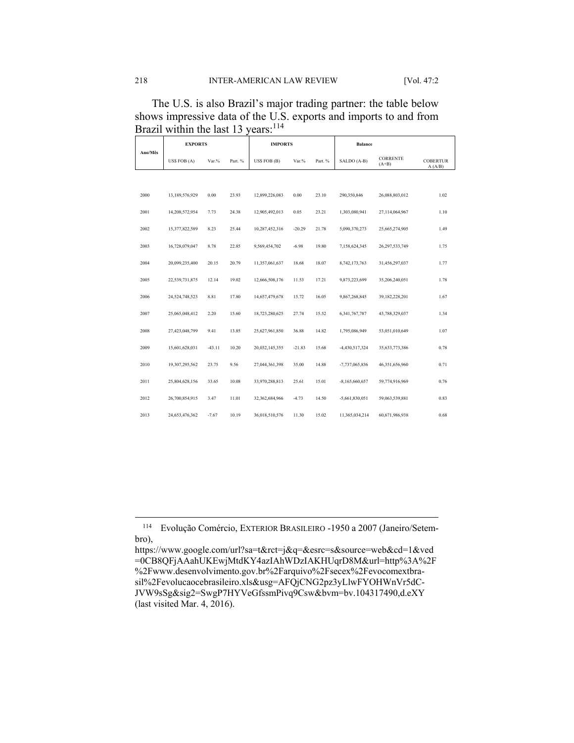The U.S. is also Brazil's major trading partner: the table below shows impressive data of the U.S. exports and imports to and from Brazil within the last 13 years:<sup>114</sup>

| Ano/Mês | <b>EXPORTS</b> |          | <b>IMPORTS</b> |                |          | <b>Balance</b> |                  |                            |                            |
|---------|----------------|----------|----------------|----------------|----------|----------------|------------------|----------------------------|----------------------------|
|         | US\$ FOB (A)   | Var.%    | Part. %        | US\$ FOB (B)   | Var.%    | Part. %        | SALDO (A-B)      | <b>CORRENTE</b><br>$(A+B)$ | <b>COBERTUR</b><br>A (A/B) |
|         |                |          |                |                |          |                |                  |                            |                            |
| 2000    | 13,189,576,929 | 0.00     | 23.93          | 12,899,226,083 | 0.00     | 23.10          | 290,350,846      | 26,088,803,012             | 1.02                       |
| 2001    | 14,208,572,954 | 7.73     | 24.38          | 12,905,492,013 | 0.05     | 23.21          | 1,303,080,941    | 27,114,064,967             | 1.10                       |
| 2002    | 15,377,822,589 | 8.23     | 25.44          | 10,287,452,316 | $-20.29$ | 21.78          | 5,090,370,273    | 25,665,274,905             | 1.49                       |
| 2003    | 16,728,079,047 | 8.78     | 22.85          | 9,569,454,702  | $-6.98$  | 19.80          | 7,158,624,345    | 26,297,533,749             | 1.75                       |
| 2004    | 20,099,235,400 | 20.15    | 20.79          | 11,357,061,637 | 18.68    | 18.07          | 8,742,173,763    | 31,456,297,037             | 1.77                       |
| 2005    | 22,539,731,875 | 12.14    | 19.02          | 12,666,508,176 | 11.53    | 17.21          | 9,873,223,699    | 35,206,240,051             | 1.78                       |
| 2006    | 24,524,748,523 | 8.81     | 17.80          | 14,657,479,678 | 15.72    | 16.05          | 9,867,268,845    | 39,182,228,201             | 1.67                       |
| 2007    | 25,065,048,412 | 2.20     | 15.60          | 18,723,280,625 | 27.74    | 15.52          | 6,341,767,787    | 43,788,329,037             | 1.34                       |
| 2008    | 27,423,048,799 | 9.41     | 13.85          | 25,627,961,850 | 36.88    | 14.82          | 1,795,086,949    | 53,051,010,649             | 1.07                       |
| 2009    | 15,601,628,031 | $-43.11$ | 10.20          | 20,032,145,355 | $-21.83$ | 15.68          | -4,430,517,324   | 35,633,773,386             | 0.78                       |
| 2010    | 19,307,295,562 | 23.75    | 9.56           | 27,044,361,398 | 35.00    | 14.88          | $-7,737,065,836$ | 46,351,656,960             | 0.71                       |
| 2011    | 25,804,628,156 | 33.65    | 10.08          | 33,970,288,813 | 25.61    | 15.01          | $-8,165,660,657$ | 59,774,916,969             | 0.76                       |
| 2012    | 26,700,854,915 | 3.47     | 11.01          | 32,362,684,966 | $-4.73$  | 14.50          | $-5,661,830,051$ | 59,063,539,881             | 0.83                       |
| 2013    | 24,653,476,362 | $-7.67$  | 10.19          | 36,018,510,576 | 11.30    | 15.02          | 11,365,034,214   | 60,671,986,938             | 0.68                       |

<sup>114</sup> Evolução Comércio, EXTERIOR BRASILEIRO -1950 a 2007 (Janeiro/Setembro),

https://www.google.com/url?sa=t&rct=j&q=&esrc=s&source=web&cd=1&ved =0CB8QFjAAahUKEwjMtdKY4azIAhWDzIAKHUqrD8M&url=http%3A%2F %2Fwww.desenvolvimento.gov.br%2Farquivo%2Fsecex%2Fevocomextbrasil%2Fevolucaocebrasileiro.xls&usg=AFQjCNG2pz3yLlwFYOHWnVr5dC-JVW9sSg&sig2=SwgP7HYVeGfssmPivq9Csw&bvm=bv.104317490,d.eXY (last visited Mar. 4, 2016).